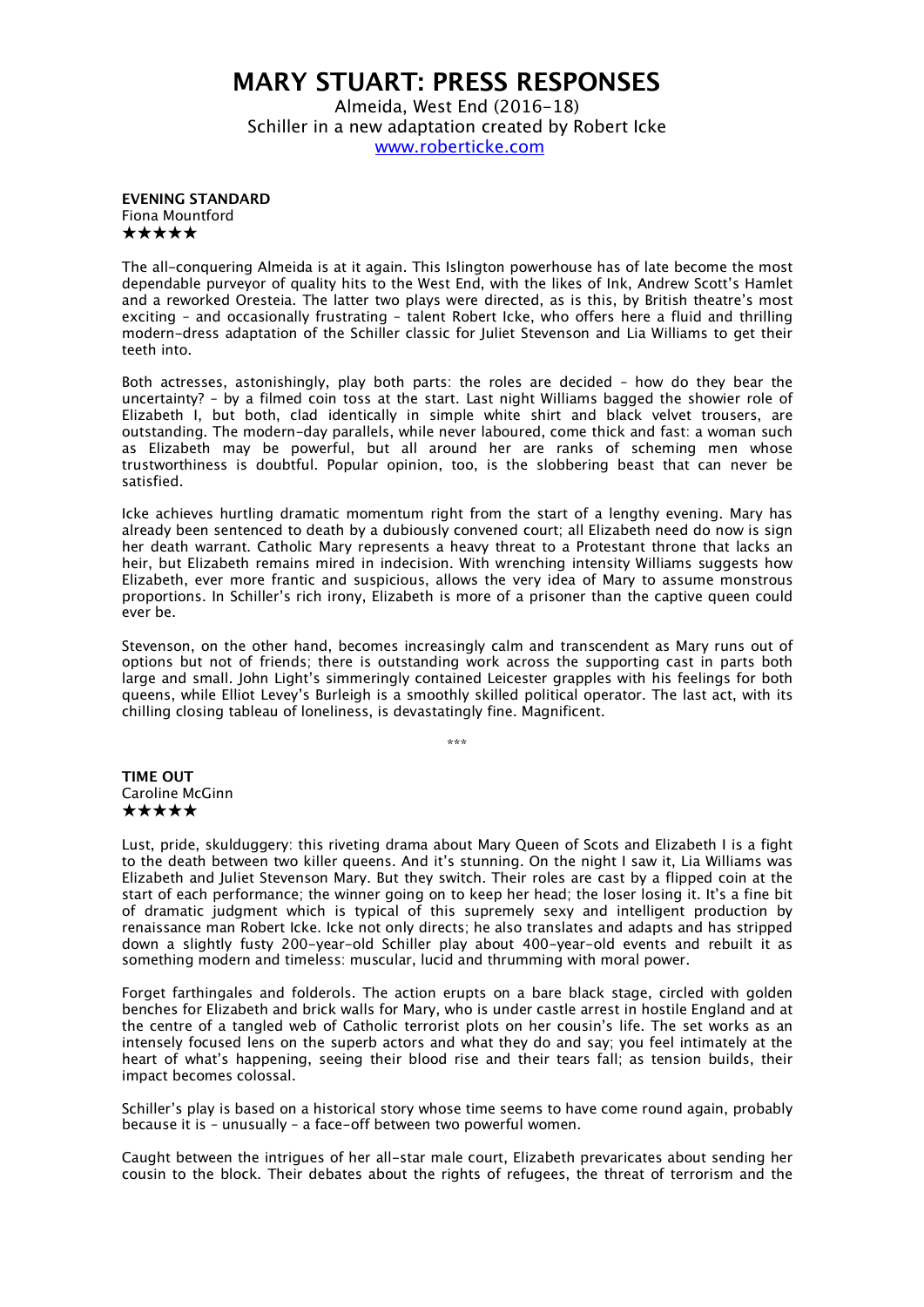# **MARY STUART: PRESS RESPONSES**

Almeida, West End (2016-18) Schiller in a new adaptation created by Robert Icke www.roberticke.com

### **EVENING STANDARD** Fiona Mountford ★★★★★

The all-conquering Almeida is at it again. This Islington powerhouse has of late become the most dependable purveyor of quality hits to the West End, with the likes of Ink, Andrew Scott's Hamlet and a reworked Oresteia. The latter two plays were directed, as is this, by British theatre's most exciting – and occasionally frustrating – talent Robert Icke, who offers here a fluid and thrilling modern-dress adaptation of the Schiller classic for Juliet Stevenson and Lia Williams to get their teeth into.

Both actresses, astonishingly, play both parts: the roles are decided – how do they bear the uncertainty? – by a filmed coin toss at the start. Last night Williams bagged the showier role of Elizabeth I, but both, clad identically in simple white shirt and black velvet trousers, are outstanding. The modern-day parallels, while never laboured, come thick and fast: a woman such as Elizabeth may be powerful, but all around her are ranks of scheming men whose trustworthiness is doubtful. Popular opinion, too, is the slobbering beast that can never be satisfied.

Icke achieves hurtling dramatic momentum right from the start of a lengthy evening. Mary has already been sentenced to death by a dubiously convened court; all Elizabeth need do now is sign her death warrant. Catholic Mary represents a heavy threat to a Protestant throne that lacks an heir, but Elizabeth remains mired in indecision. With wrenching intensity Williams suggests how Elizabeth, ever more frantic and suspicious, allows the very idea of Mary to assume monstrous proportions. In Schiller's rich irony, Elizabeth is more of a prisoner than the captive queen could ever be.

Stevenson, on the other hand, becomes increasingly calm and transcendent as Mary runs out of options but not of friends; there is outstanding work across the supporting cast in parts both large and small. John Light's simmeringly contained Leicester grapples with his feelings for both queens, while Elliot Levey's Burleigh is a smoothly skilled political operator. The last act, with its chilling closing tableau of loneliness, is devastatingly fine. Magnificent.

\*\*\*

**TIME OUT** Caroline McGinn ★★★★★

Lust, pride, skulduggery: this riveting drama about Mary Queen of Scots and Elizabeth I is a fight to the death between two killer queens. And it's stunning. On the night I saw it, Lia Williams was Elizabeth and Juliet Stevenson Mary. But they switch. Their roles are cast by a flipped coin at the start of each performance; the winner going on to keep her head; the loser losing it. It's a fine bit of dramatic judgment which is typical of this supremely sexy and intelligent production by renaissance man Robert Icke. Icke not only directs; he also translates and adapts and has stripped down a slightly fusty 200-year-old Schiller play about 400-year-old events and rebuilt it as something modern and timeless: muscular, lucid and thrumming with moral power.

Forget farthingales and folderols. The action erupts on a bare black stage, circled with golden benches for Elizabeth and brick walls for Mary, who is under castle arrest in hostile England and at the centre of a tangled web of Catholic terrorist plots on her cousin's life. The set works as an intensely focused lens on the superb actors and what they do and say; you feel intimately at the heart of what's happening, seeing their blood rise and their tears fall; as tension builds, their impact becomes colossal.

Schiller's play is based on a historical story whose time seems to have come round again, probably because it is – unusually – a face-off between two powerful women.

Caught between the intrigues of her all-star male court, Elizabeth prevaricates about sending her cousin to the block. Their debates about the rights of refugees, the threat of terrorism and the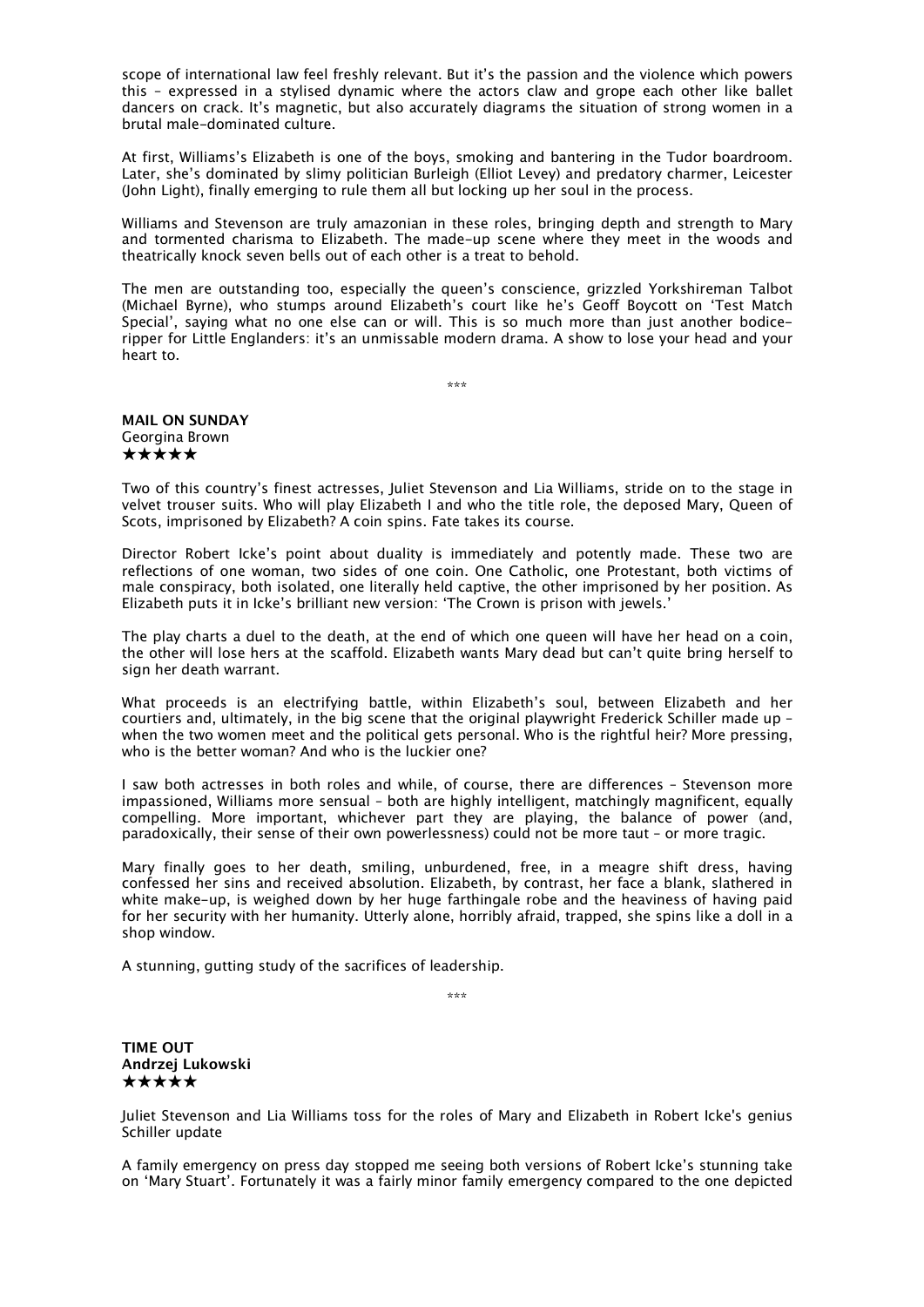scope of international law feel freshly relevant. But it's the passion and the violence which powers this – expressed in a stylised dynamic where the actors claw and grope each other like ballet dancers on crack. It's magnetic, but also accurately diagrams the situation of strong women in a brutal male-dominated culture.

At first, Williams's Elizabeth is one of the boys, smoking and bantering in the Tudor boardroom. Later, she's dominated by slimy politician Burleigh (Elliot Levey) and predatory charmer, Leicester (John Light), finally emerging to rule them all but locking up her soul in the process.

Williams and Stevenson are truly amazonian in these roles, bringing depth and strength to Mary and tormented charisma to Elizabeth. The made-up scene where they meet in the woods and theatrically knock seven bells out of each other is a treat to behold.

The men are outstanding too, especially the queen's conscience, grizzled Yorkshireman Talbot (Michael Byrne), who stumps around Elizabeth's court like he's Geoff Boycott on 'Test Match Special', saying what no one else can or will. This is so much more than just another bodiceripper for Little Englanders: it's an unmissable modern drama. A show to lose your head and your heart to.

\*\*\*

### **MAIL ON SUNDAY** Georgina Brown ★★★★★

Two of this country's finest actresses, Juliet Stevenson and Lia Williams, stride on to the stage in velvet trouser suits. Who will play Elizabeth I and who the title role, the deposed Mary, Queen of Scots, imprisoned by Elizabeth? A coin spins. Fate takes its course.

Director Robert Icke's point about duality is immediately and potently made. These two are reflections of one woman, two sides of one coin. One Catholic, one Protestant, both victims of male conspiracy, both isolated, one literally held captive, the other imprisoned by her position. As Elizabeth puts it in Icke's brilliant new version: 'The Crown is prison with jewels.'

The play charts a duel to the death, at the end of which one queen will have her head on a coin, the other will lose hers at the scaffold. Elizabeth wants Mary dead but can't quite bring herself to sign her death warrant.

What proceeds is an electrifying battle, within Elizabeth's soul, between Elizabeth and her courtiers and, ultimately, in the big scene that the original playwright Frederick Schiller made up – when the two women meet and the political gets personal. Who is the rightful heir? More pressing, who is the better woman? And who is the luckier one?

I saw both actresses in both roles and while, of course, there are differences – Stevenson more impassioned, Williams more sensual – both are highly intelligent, matchingly magnificent, equally compelling. More important, whichever part they are playing, the balance of power (and, paradoxically, their sense of their own powerlessness) could not be more taut – or more tragic.

Mary finally goes to her death, smiling, unburdened, free, in a meagre shift dress, having confessed her sins and received absolution. Elizabeth, by contrast, her face a blank, slathered in white make-up, is weighed down by her huge farthingale robe and the heaviness of having paid for her security with her humanity. Utterly alone, horribly afraid, trapped, she spins like a doll in a shop window.

A stunning, gutting study of the sacrifices of leadership.

\*\*\*

**TIME OUT Andrzej Lukowski** ★★★★★

Juliet Stevenson and Lia Williams toss for the roles of Mary and Elizabeth in Robert Icke's genius Schiller update

A family emergency on press day stopped me seeing both versions of Robert Icke's stunning take on 'Mary Stuart'. Fortunately it was a fairly minor family emergency compared to the one depicted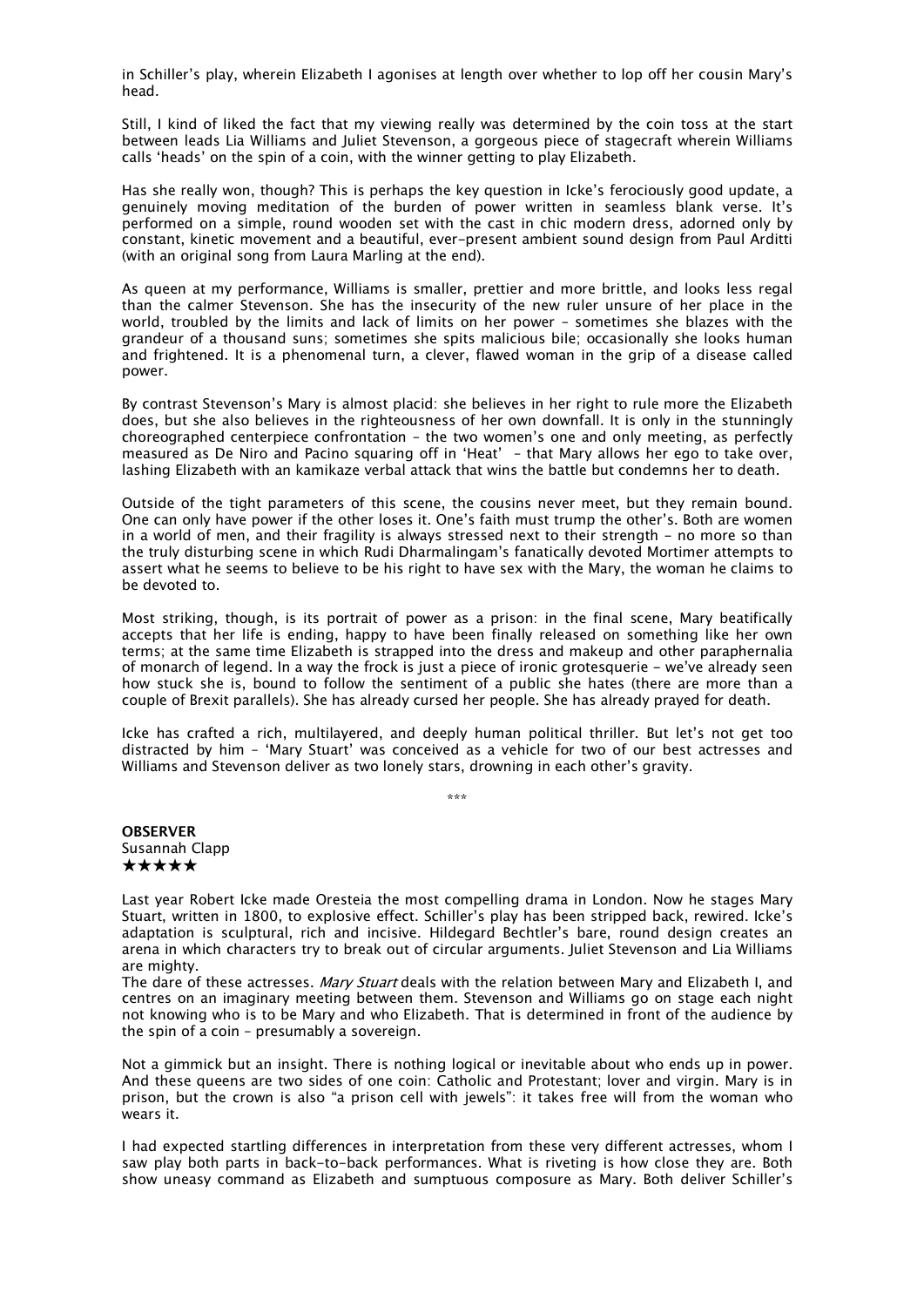in Schiller's play, wherein Elizabeth I agonises at length over whether to lop off her cousin Mary's head.

Still, I kind of liked the fact that my viewing really was determined by the coin toss at the start between leads Lia Williams and Juliet Stevenson, a gorgeous piece of stagecraft wherein Williams calls 'heads' on the spin of a coin, with the winner getting to play Elizabeth.

Has she really won, though? This is perhaps the key question in Icke's ferociously good update, a genuinely moving meditation of the burden of power written in seamless blank verse. It's performed on a simple, round wooden set with the cast in chic modern dress, adorned only by constant, kinetic movement and a beautiful, ever-present ambient sound design from Paul Arditti (with an original song from Laura Marling at the end).

As queen at my performance, Williams is smaller, prettier and more brittle, and looks less regal than the calmer Stevenson. She has the insecurity of the new ruler unsure of her place in the world, troubled by the limits and lack of limits on her power – sometimes she blazes with the grandeur of a thousand suns; sometimes she spits malicious bile; occasionally she looks human and frightened. It is a phenomenal turn, a clever, flawed woman in the grip of a disease called power.

By contrast Stevenson's Mary is almost placid: she believes in her right to rule more the Elizabeth does, but she also believes in the righteousness of her own downfall. It is only in the stunningly choreographed centerpiece confrontation – the two women's one and only meeting, as perfectly measured as De Niro and Pacino squaring off in 'Heat' – that Mary allows her ego to take over, lashing Elizabeth with an kamikaze verbal attack that wins the battle but condemns her to death.

Outside of the tight parameters of this scene, the cousins never meet, but they remain bound. One can only have power if the other loses it. One's faith must trump the other's. Both are women in a world of men, and their fragility is always stressed next to their strength - no more so than the truly disturbing scene in which Rudi Dharmalingam's fanatically devoted Mortimer attempts to assert what he seems to believe to be his right to have sex with the Mary, the woman he claims to be devoted to.

Most striking, though, is its portrait of power as a prison: in the final scene, Mary beatifically accepts that her life is ending, happy to have been finally released on something like her own terms; at the same time Elizabeth is strapped into the dress and makeup and other paraphernalia of monarch of legend. In a way the frock is just a piece of ironic grotesquerie - we've already seen how stuck she is, bound to follow the sentiment of a public she hates (there are more than a couple of Brexit parallels). She has already cursed her people. She has already prayed for death.

Icke has crafted a rich, multilayered, and deeply human political thriller. But let's not get too distracted by him – 'Mary Stuart' was conceived as a vehicle for two of our best actresses and Williams and Stevenson deliver as two lonely stars, drowning in each other's gravity.

\*\*\*

**OBSERVER** Susannah Clapp ★★★★★

Last year Robert Icke made Oresteia the most compelling drama in London. Now he stages Mary Stuart, written in 1800, to explosive effect. Schiller's play has been stripped back, rewired. Icke's adaptation is sculptural, rich and incisive. Hildegard Bechtler's bare, round design creates an arena in which characters try to break out of circular arguments. Juliet Stevenson and Lia Williams are mighty.

The dare of these actresses. Mary Stuart deals with the relation between Mary and Elizabeth I, and centres on an imaginary meeting between them. Stevenson and Williams go on stage each night not knowing who is to be Mary and who Elizabeth. That is determined in front of the audience by the spin of a coin – presumably a sovereign.

Not a gimmick but an insight. There is nothing logical or inevitable about who ends up in power. And these queens are two sides of one coin: Catholic and Protestant; lover and virgin. Mary is in prison, but the crown is also "a prison cell with jewels": it takes free will from the woman who wears it.

I had expected startling differences in interpretation from these very different actresses, whom I saw play both parts in back-to-back performances. What is riveting is how close they are. Both show uneasy command as Elizabeth and sumptuous composure as Mary. Both deliver Schiller's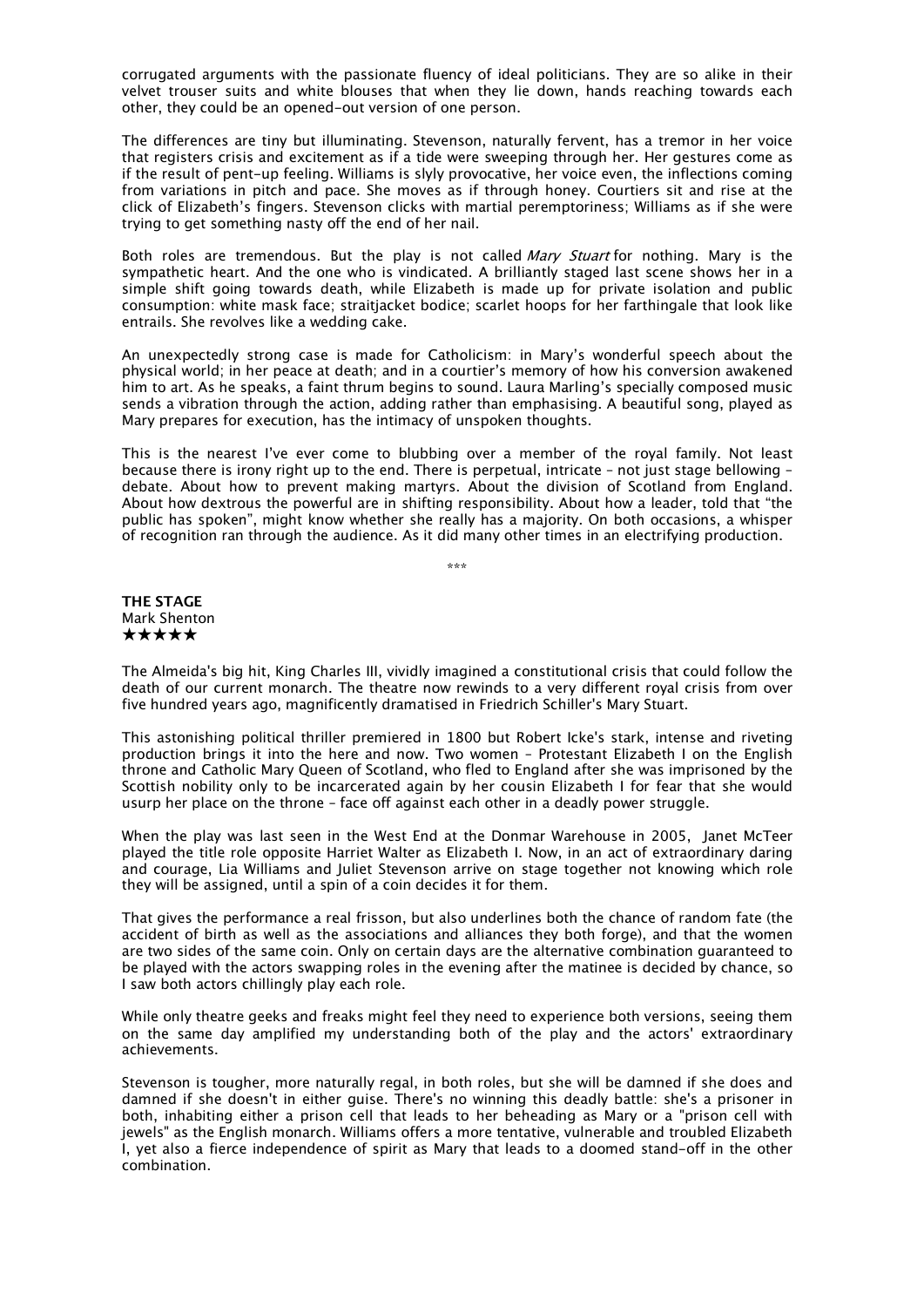corrugated arguments with the passionate fluency of ideal politicians. They are so alike in their velvet trouser suits and white blouses that when they lie down, hands reaching towards each other, they could be an opened-out version of one person.

The differences are tiny but illuminating. Stevenson, naturally fervent, has a tremor in her voice that registers crisis and excitement as if a tide were sweeping through her. Her gestures come as if the result of pent-up feeling. Williams is slyly provocative, her voice even, the inflections coming from variations in pitch and pace. She moves as if through honey. Courtiers sit and rise at the click of Elizabeth's fingers. Stevenson clicks with martial peremptoriness; Williams as if she were trying to get something nasty off the end of her nail.

Both roles are tremendous. But the play is not called Mary Stuart for nothing. Mary is the sympathetic heart. And the one who is vindicated. A brilliantly staged last scene shows her in a simple shift going towards death, while Elizabeth is made up for private isolation and public consumption: white mask face; straitjacket bodice; scarlet hoops for her farthingale that look like entrails. She revolves like a wedding cake.

An unexpectedly strong case is made for Catholicism: in Mary's wonderful speech about the physical world; in her peace at death; and in a courtier's memory of how his conversion awakened him to art. As he speaks, a faint thrum begins to sound. Laura Marling's specially composed music sends a vibration through the action, adding rather than emphasising. A beautiful song, played as Mary prepares for execution, has the intimacy of unspoken thoughts.

This is the nearest I've ever come to blubbing over a member of the royal family. Not least because there is irony right up to the end. There is perpetual, intricate – not just stage bellowing – debate. About how to prevent making martyrs. About the division of Scotland from England. About how dextrous the powerful are in shifting responsibility. About how a leader, told that "the public has spoken", might know whether she really has a majority. On both occasions, a whisper of recognition ran through the audience. As it did many other times in an electrifying production.

\*\*\*

### **THE STAGE** Mark Shenton ★★★★★

The Almeida's big hit, King Charles III, vividly imagined a constitutional crisis that could follow the death of our current monarch. The theatre now rewinds to a very different royal crisis from over five hundred years ago, magnificently dramatised in Friedrich Schiller's Mary Stuart.

This astonishing political thriller premiered in 1800 but Robert Icke's stark, intense and riveting production brings it into the here and now. Two women – Protestant Elizabeth I on the English throne and Catholic Mary Queen of Scotland, who fled to England after she was imprisoned by the Scottish nobility only to be incarcerated again by her cousin Elizabeth I for fear that she would usurp her place on the throne – face off against each other in a deadly power struggle.

When the play was last seen in the West End at the Donmar Warehouse in 2005, Janet McTeer played the title role opposite Harriet Walter as Elizabeth I. Now, in an act of extraordinary daring and courage, Lia Williams and Juliet Stevenson arrive on stage together not knowing which role they will be assigned, until a spin of a coin decides it for them.

That gives the performance a real frisson, but also underlines both the chance of random fate (the accident of birth as well as the associations and alliances they both forge), and that the women are two sides of the same coin. Only on certain days are the alternative combination guaranteed to be played with the actors swapping roles in the evening after the matinee is decided by chance, so I saw both actors chillingly play each role.

While only theatre geeks and freaks might feel they need to experience both versions, seeing them on the same day amplified my understanding both of the play and the actors' extraordinary achievements.

Stevenson is tougher, more naturally regal, in both roles, but she will be damned if she does and damned if she doesn't in either guise. There's no winning this deadly battle: she's a prisoner in both, inhabiting either a prison cell that leads to her beheading as Mary or a "prison cell with jewels" as the English monarch. Williams offers a more tentative, vulnerable and troubled Elizabeth I, yet also a fierce independence of spirit as Mary that leads to a doomed stand-off in the other combination.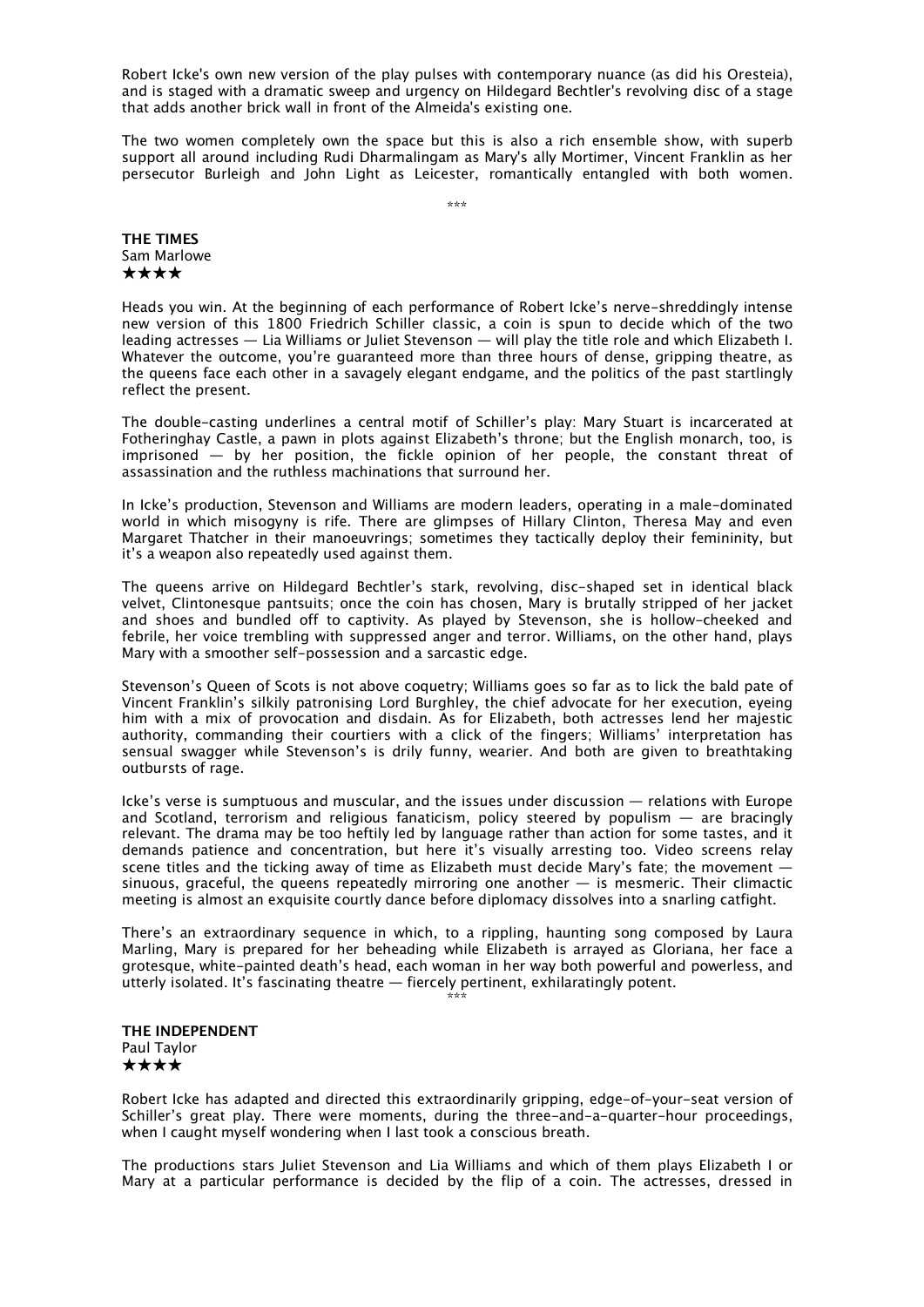Robert Icke's own new version of the play pulses with contemporary nuance (as did his Oresteia), and is staged with a dramatic sweep and urgency on Hildegard Bechtler's revolving disc of a stage that adds another brick wall in front of the Almeida's existing one.

The two women completely own the space but this is also a rich ensemble show, with superb support all around including Rudi Dharmalingam as Mary's ally Mortimer, Vincent Franklin as her persecutor Burleigh and John Light as Leicester, romantically entangled with both women.

**THE TIMES** Sam Marlowe ★★★★

Heads you win. At the beginning of each performance of Robert Icke's nerve-shreddingly intense new version of this 1800 Friedrich Schiller classic, a coin is spun to decide which of the two leading actresses — Lia Williams or Juliet Stevenson — will play the title role and which Elizabeth I. Whatever the outcome, you're guaranteed more than three hours of dense, gripping theatre, as the queens face each other in a savagely elegant endgame, and the politics of the past startlingly reflect the present.

The double-casting underlines a central motif of Schiller's play: Mary Stuart is incarcerated at Fotheringhay Castle, a pawn in plots against Elizabeth's throne; but the English monarch, too, is imprisoned — by her position, the fickle opinion of her people, the constant threat of assassination and the ruthless machinations that surround her.

In Icke's production, Stevenson and Williams are modern leaders, operating in a male-dominated world in which misogyny is rife. There are glimpses of Hillary Clinton, Theresa May and even Margaret Thatcher in their manoeuvrings; sometimes they tactically deploy their femininity, but it's a weapon also repeatedly used against them.

The queens arrive on Hildegard Bechtler's stark, revolving, disc-shaped set in identical black velvet, Clintonesque pantsuits; once the coin has chosen, Mary is brutally stripped of her jacket and shoes and bundled off to captivity. As played by Stevenson, she is hollow-cheeked and febrile, her voice trembling with suppressed anger and terror. Williams, on the other hand, plays Mary with a smoother self-possession and a sarcastic edge.

Stevenson's Queen of Scots is not above coquetry; Williams goes so far as to lick the bald pate of Vincent Franklin's silkily patronising Lord Burghley, the chief advocate for her execution, eyeing him with a mix of provocation and disdain. As for Elizabeth, both actresses lend her majestic authority, commanding their courtiers with a click of the fingers; Williams' interpretation has sensual swagger while Stevenson's is drily funny, wearier. And both are given to breathtaking outbursts of rage.

Icke's verse is sumptuous and muscular, and the issues under discussion — relations with Europe and Scotland, terrorism and religious fanaticism, policy steered by populism — are bracingly relevant. The drama may be too heftily led by language rather than action for some tastes, and it demands patience and concentration, but here it's visually arresting too. Video screens relay scene titles and the ticking away of time as Elizabeth must decide Mary's fate; the movement sinuous, graceful, the queens repeatedly mirroring one another  $-$  is mesmeric. Their climactic meeting is almost an exquisite courtly dance before diplomacy dissolves into a snarling catfight.

There's an extraordinary sequence in which, to a rippling, haunting song composed by Laura Marling, Mary is prepared for her beheading while Elizabeth is arrayed as Gloriana, her face a grotesque, white-painted death's head, each woman in her way both powerful and powerless, and utterly isolated. It's fascinating theatre — fiercely pertinent, exhilaratingly potent. \*\*\*

**THE INDEPENDENT** Paul Taylor ★★★★

Robert Icke has adapted and directed this extraordinarily gripping, edge-of-your-seat version of Schiller's great play. There were moments, during the three-and-a-quarter-hour proceedings, when I caught myself wondering when I last took a conscious breath.

The productions stars Juliet Stevenson and Lia Williams and which of them plays Elizabeth I or Mary at a particular performance is decided by the flip of a coin. The actresses, dressed in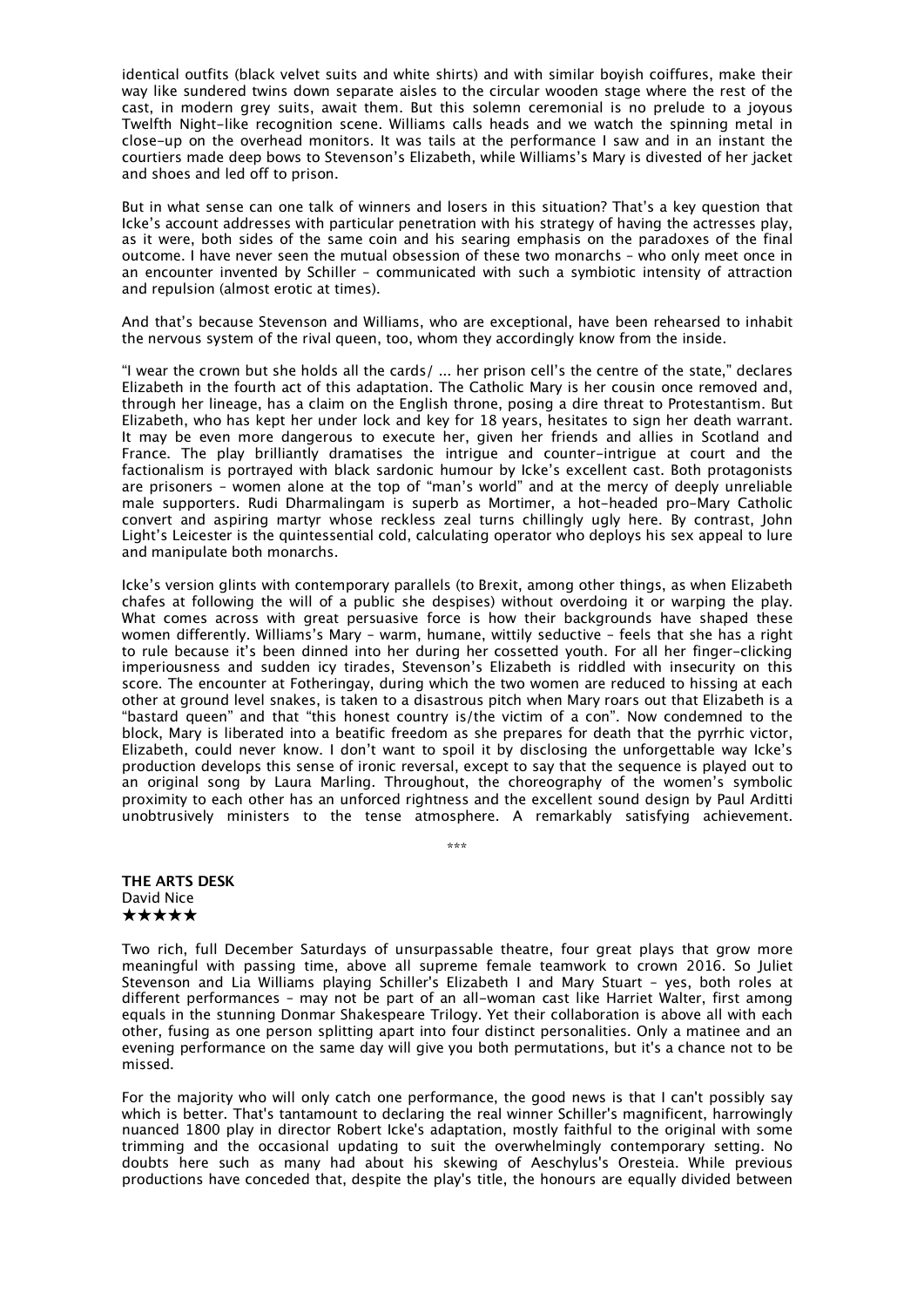identical outfits (black velvet suits and white shirts) and with similar boyish coiffures, make their way like sundered twins down separate aisles to the circular wooden stage where the rest of the cast, in modern grey suits, await them. But this solemn ceremonial is no prelude to a joyous Twelfth Night-like recognition scene. Williams calls heads and we watch the spinning metal in close-up on the overhead monitors. It was tails at the performance I saw and in an instant the courtiers made deep bows to Stevenson's Elizabeth, while Williams's Mary is divested of her jacket and shoes and led off to prison.

But in what sense can one talk of winners and losers in this situation? That's a key question that Icke's account addresses with particular penetration with his strategy of having the actresses play, as it were, both sides of the same coin and his searing emphasis on the paradoxes of the final outcome. I have never seen the mutual obsession of these two monarchs – who only meet once in an encounter invented by Schiller – communicated with such a symbiotic intensity of attraction and repulsion (almost erotic at times).

And that's because Stevenson and Williams, who are exceptional, have been rehearsed to inhabit the nervous system of the rival queen, too, whom they accordingly know from the inside.

"I wear the crown but she holds all the cards/ ... her prison cell's the centre of the state," declares Elizabeth in the fourth act of this adaptation. The Catholic Mary is her cousin once removed and, through her lineage, has a claim on the English throne, posing a dire threat to Protestantism. But Elizabeth, who has kept her under lock and key for 18 years, hesitates to sign her death warrant. It may be even more dangerous to execute her, given her friends and allies in Scotland and France. The play brilliantly dramatises the intrigue and counter-intrigue at court and the factionalism is portrayed with black sardonic humour by Icke's excellent cast. Both protagonists are prisoners – women alone at the top of "man's world" and at the mercy of deeply unreliable male supporters. Rudi Dharmalingam is superb as Mortimer, a hot-headed pro-Mary Catholic convert and aspiring martyr whose reckless zeal turns chillingly ugly here. By contrast, John Light's Leicester is the quintessential cold, calculating operator who deploys his sex appeal to lure and manipulate both monarchs.

Icke's version glints with contemporary parallels (to Brexit, among other things, as when Elizabeth chafes at following the will of a public she despises) without overdoing it or warping the play. What comes across with great persuasive force is how their backgrounds have shaped these women differently. Williams's Mary – warm, humane, wittily seductive – feels that she has a right to rule because it's been dinned into her during her cossetted youth. For all her finger-clicking imperiousness and sudden icy tirades, Stevenson's Elizabeth is riddled with insecurity on this score. The encounter at Fotheringay, during which the two women are reduced to hissing at each other at ground level snakes, is taken to a disastrous pitch when Mary roars out that Elizabeth is a "bastard queen" and that "this honest country is/the victim of a con". Now condemned to the block, Mary is liberated into a beatific freedom as she prepares for death that the pyrrhic victor, Elizabeth, could never know. I don't want to spoil it by disclosing the unforgettable way Icke's production develops this sense of ironic reversal, except to say that the sequence is played out to an original song by Laura Marling. Throughout, the choreography of the women's symbolic proximity to each other has an unforced rightness and the excellent sound design by Paul Arditti unobtrusively ministers to the tense atmosphere. A remarkably satisfying achievement.

\*\*\*

**THE ARTS DESK** David Nice ★★★★★

Two rich, full December Saturdays of unsurpassable theatre, four great plays that grow more meaningful with passing time, above all supreme female teamwork to crown 2016. So Juliet Stevenson and Lia Williams playing Schiller's Elizabeth I and Mary Stuart – yes, both roles at different performances – may not be part of an all-woman cast like Harriet Walter, first among equals in the stunning Donmar Shakespeare Trilogy. Yet their collaboration is above all with each other, fusing as one person splitting apart into four distinct personalities. Only a matinee and an evening performance on the same day will give you both permutations, but it's a chance not to be missed.

For the majority who will only catch one performance, the good news is that I can't possibly say which is better. That's tantamount to declaring the real winner Schiller's magnificent, harrowingly nuanced 1800 play in director Robert Icke's adaptation, mostly faithful to the original with some trimming and the occasional updating to suit the overwhelmingly contemporary setting. No doubts here such as many had about his skewing of Aeschylus's Oresteia. While previous productions have conceded that, despite the play's title, the honours are equally divided between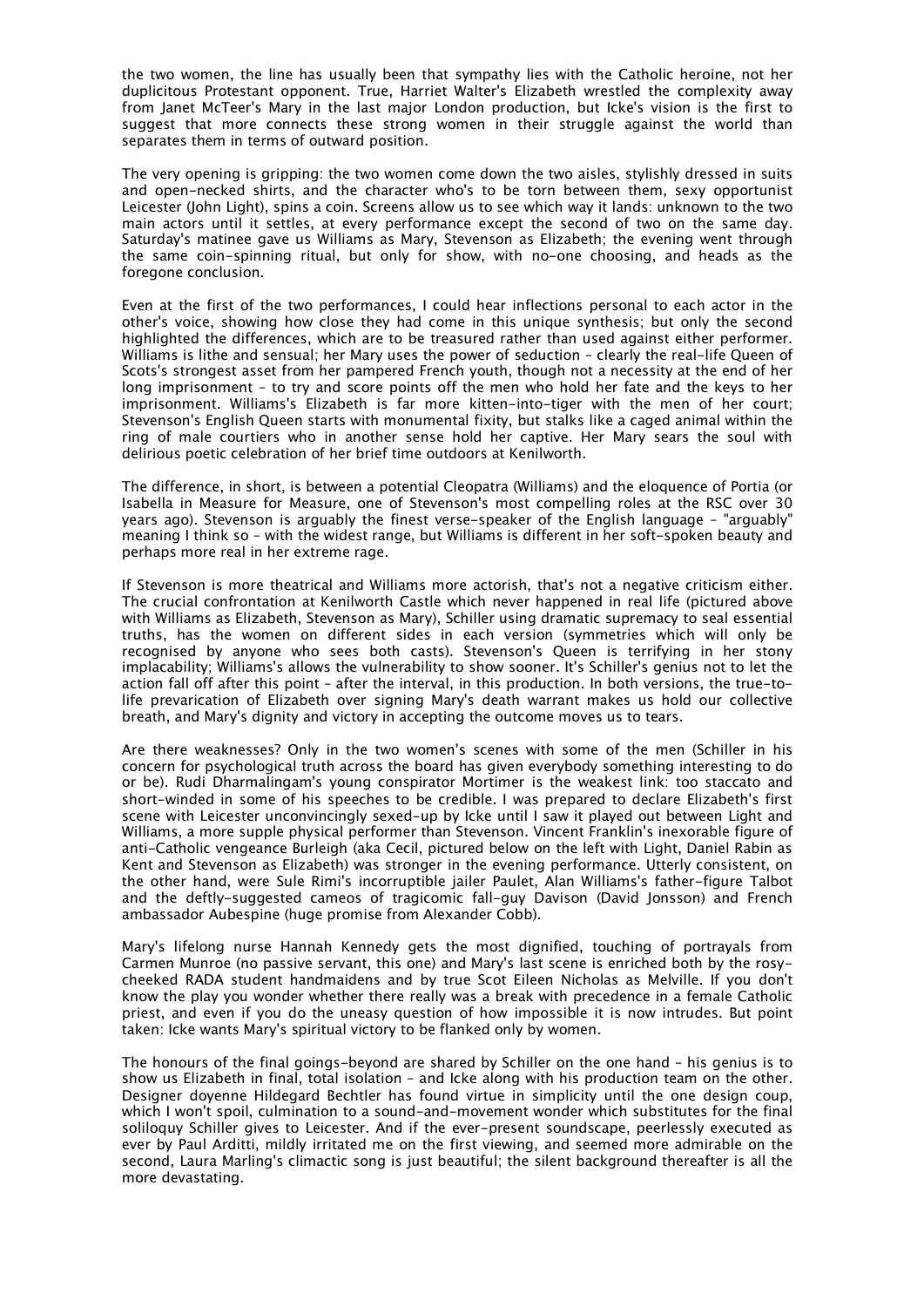the two women, the line has usually been that sympathy lies with the Catholic heroine, not her duplicitous Protestant opponent. True, Harriet Walter's Elizabeth wrestled the complexity away from Janet McTeer's Mary in the last major London production, but Icke's vision is the first to suggest that more connects these strong women in their struggle against the world than separates them in terms of outward position.

The very opening is gripping: the two women come down the two aisles, stylishly dressed in suits and open-necked shirts, and the character who's to be torn between them, sexy opportunist Leicester (John Light), spins a coin. Screens allow us to see which way it lands: unknown to the two main actors until it settles, at every performance except the second of two on the same day. Saturday's matinee gave us Williams as Mary, Stevenson as Elizabeth; the evening went through the same coin-spinning ritual, but only for show, with no-one choosing, and heads as the foregone conclusion.

Even at the first of the two performances, I could hear inflections personal to each actor in the other's voice, showing how close they had come in this unique synthesis; but only the second highlighted the differences, which are to be treasured rather than used against either performer. Williams is lithe and sensual; her Mary uses the power of seduction – clearly the real-life Queen of Scots's strongest asset from her pampered French youth, though not a necessity at the end of her long imprisonment – to try and score points off the men who hold her fate and the keys to her imprisonment. Williams's Elizabeth is far more kitten-into-tiger with the men of her court; Stevenson's English Queen starts with monumental fixity, but stalks like a caged animal within the ring of male courtiers who in another sense hold her captive. Her Mary sears the soul with delirious poetic celebration of her brief time outdoors at Kenilworth.

The difference, in short, is between a potential Cleopatra (Williams) and the eloquence of Portia (or Isabella in Measure for Measure, one of Stevenson's most compelling roles at the RSC over 30 years ago). Stevenson is arguably the finest verse-speaker of the English language – "arguably" meaning I think so – with the widest range, but Williams is different in her soft-spoken beauty and perhaps more real in her extreme rage.

If Stevenson is more theatrical and Williams more actorish, that's not a negative criticism either. The crucial confrontation at Kenilworth Castle which never happened in real life (pictured above with Williams as Elizabeth, Stevenson as Mary), Schiller using dramatic supremacy to seal essential truths, has the women on different sides in each version (symmetries which will only be recognised by anyone who sees both casts). Stevenson's Queen is terrifying in her stony implacability; Williams's allows the vulnerability to show sooner. It's Schiller's genius not to let the action fall off after this point – after the interval, in this production. In both versions, the true-tolife prevarication of Elizabeth over signing Mary's death warrant makes us hold our collective breath, and Mary's dignity and victory in accepting the outcome moves us to tears.

Are there weaknesses? Only in the two women's scenes with some of the men (Schiller in his concern for psychological truth across the board has given everybody something interesting to do or be). Rudi Dharmalingam's young conspirator Mortimer is the weakest link: too staccato and short-winded in some of his speeches to be credible. I was prepared to declare Elizabeth's first scene with Leicester unconvincingly sexed-up by Icke until I saw it played out between Light and Williams, a more supple physical performer than Stevenson. Vincent Franklin's inexorable figure of anti-Catholic vengeance Burleigh (aka Cecil, pictured below on the left with Light, Daniel Rabin as Kent and Stevenson as Elizabeth) was stronger in the evening performance. Utterly consistent, on the other hand, were Sule Rimi's incorruptible jailer Paulet, Alan Williams's father-figure Talbot and the deftly-suggested cameos of tragicomic fall-guy Davison (David Jonsson) and French ambassador Aubespine (huge promise from Alexander Cobb).

Mary's lifelong nurse Hannah Kennedy gets the most dignified, touching of portrayals from Carmen Munroe (no passive servant, this one) and Mary's last scene is enriched both by the rosycheeked RADA student handmaidens and by true Scot Eileen Nicholas as Melville. If you don't know the play you wonder whether there really was a break with precedence in a female Catholic priest, and even if you do the uneasy question of how impossible it is now intrudes. But point taken: Icke wants Mary's spiritual victory to be flanked only by women.

The honours of the final goings-beyond are shared by Schiller on the one hand – his genius is to show us Elizabeth in final, total isolation – and Icke along with his production team on the other. Designer doyenne Hildegard Bechtler has found virtue in simplicity until the one design coup, which I won't spoil, culmination to a sound-and-movement wonder which substitutes for the final soliloquy Schiller gives to Leicester. And if the ever-present soundscape, peerlessly executed as ever by Paul Arditti, mildly irritated me on the first viewing, and seemed more admirable on the second, Laura Marling's climactic song is just beautiful; the silent background thereafter is all the more devastating.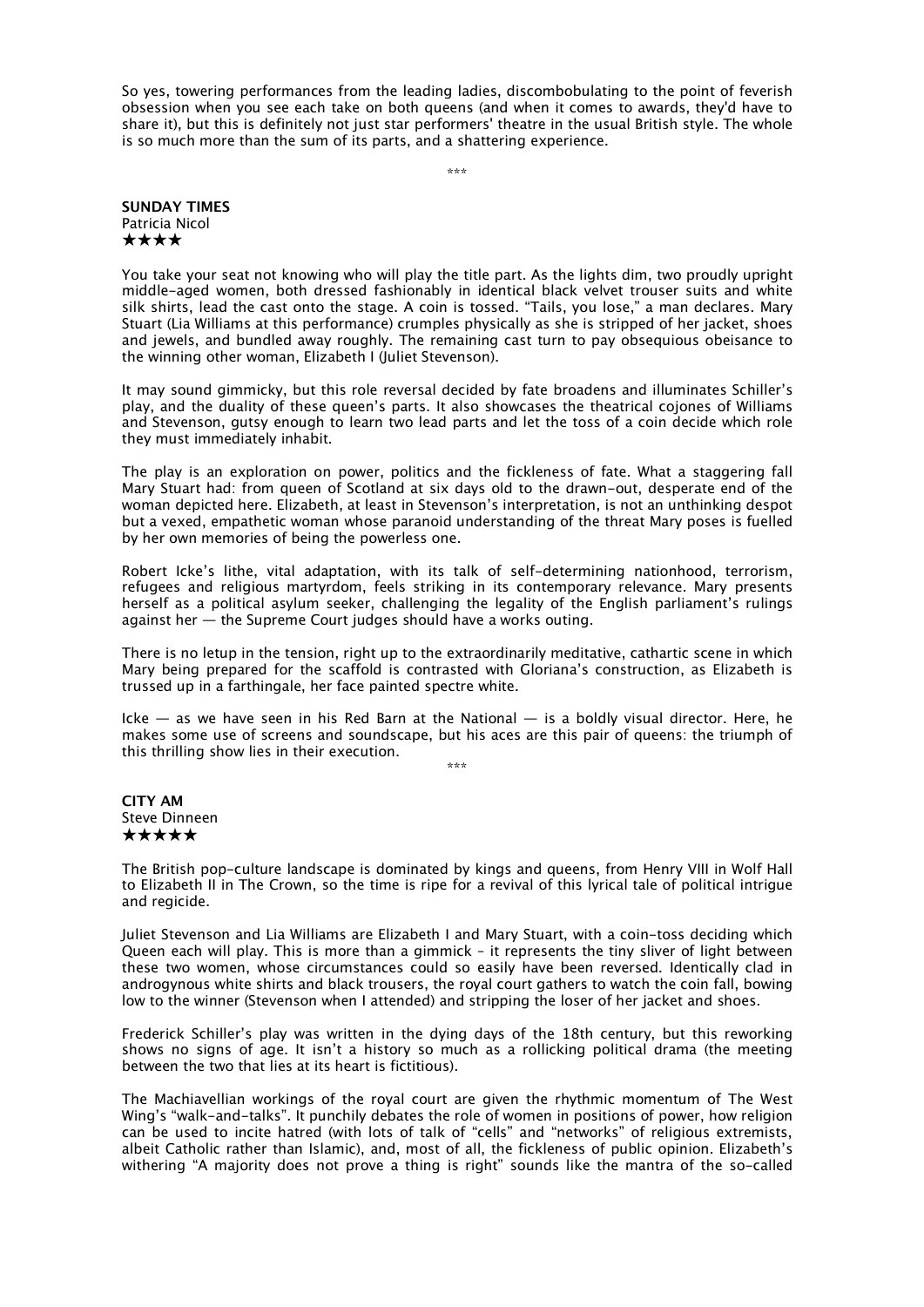So yes, towering performances from the leading ladies, discombobulating to the point of feverish obsession when you see each take on both queens (and when it comes to awards, they'd have to share it), but this is definitely not just star performers' theatre in the usual British style. The whole is so much more than the sum of its parts, and a shattering experience.

\*\*\*

## **SUNDAY TIMES** Patricia Nicol ★★★★

You take your seat not knowing who will play the title part. As the lights dim, two proudly upright middle-aged women, both dressed fashionably in identical black velvet trouser suits and white silk shirts, lead the cast onto the stage. A coin is tossed. "Tails, you lose," a man declares. Mary Stuart (Lia Williams at this performance) crumples physically as she is stripped of her jacket, shoes and jewels, and bundled away roughly. The remaining cast turn to pay obsequious obeisance to the winning other woman, Elizabeth I (Juliet Stevenson).

It may sound gimmicky, but this role reversal decided by fate broadens and illuminates Schiller's play, and the duality of these queen's parts. It also showcases the theatrical cojones of Williams and Stevenson, gutsy enough to learn two lead parts and let the toss of a coin decide which role they must immediately inhabit.

The play is an exploration on power, politics and the fickleness of fate. What a staggering fall Mary Stuart had: from queen of Scotland at six days old to the drawn-out, desperate end of the woman depicted here. Elizabeth, at least in Stevenson's interpretation, is not an unthinking despot but a vexed, empathetic woman whose paranoid understanding of the threat Mary poses is fuelled by her own memories of being the powerless one.

Robert Icke's lithe, vital adaptation, with its talk of self-determining nationhood, terrorism, refugees and religious martyrdom, feels striking in its contemporary relevance. Mary presents herself as a political asylum seeker, challenging the legality of the English parliament's rulings against her — the Supreme Court judges should have a works outing.

There is no letup in the tension, right up to the extraordinarily meditative, cathartic scene in which Mary being prepared for the scaffold is contrasted with Gloriana's construction, as Elizabeth is trussed up in a farthingale, her face painted spectre white.

Icke  $-$  as we have seen in his Red Barn at the National  $-$  is a boldly visual director. Here, he makes some use of screens and soundscape, but his aces are this pair of queens: the triumph of this thrilling show lies in their execution. \*\*\*

#### **CITY AM** Steve Dinneen ★★★★★

The British pop-culture landscape is dominated by kings and queens, from Henry VIII in Wolf Hall to Elizabeth II in The Crown, so the time is ripe for a revival of this lyrical tale of political intrigue and regicide.

Juliet Stevenson and Lia Williams are Elizabeth I and Mary Stuart, with a coin-toss deciding which Queen each will play. This is more than a gimmick – it represents the tiny sliver of light between these two women, whose circumstances could so easily have been reversed. Identically clad in androgynous white shirts and black trousers, the royal court gathers to watch the coin fall, bowing low to the winner (Stevenson when I attended) and stripping the loser of her jacket and shoes.

Frederick Schiller's play was written in the dying days of the 18th century, but this reworking shows no signs of age. It isn't a history so much as a rollicking political drama (the meeting between the two that lies at its heart is fictitious).

The Machiavellian workings of the royal court are given the rhythmic momentum of The West Wing's "walk-and-talks". It punchily debates the role of women in positions of power, how religion can be used to incite hatred (with lots of talk of "cells" and "networks" of religious extremists, albeit Catholic rather than Islamic), and, most of all, the fickleness of public opinion. Elizabeth's withering "A majority does not prove a thing is right" sounds like the mantra of the so-called